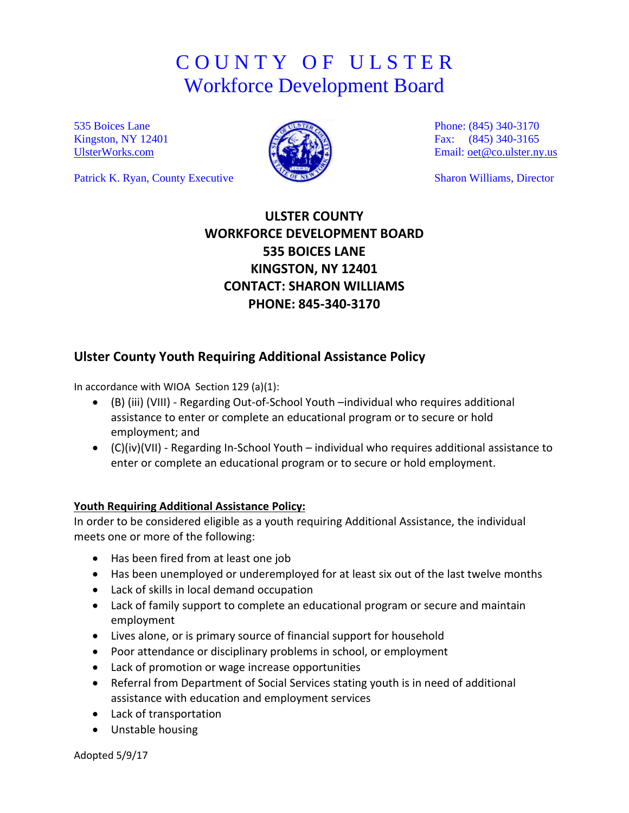# C O U N T Y O F U L S T E R Workforce Development Board

535 Boices Lane Kingston, NY 12401 [UlsterWorks.com](http://www.ulsterworks.com/)

Patrick K. Ryan, County Executive



Phone: (845) 340-3170 Fax: (845) 340-3165 Email: [oet@co.ulster.ny.us](mailto:oet@co.ulster.ny.us)

Sharon Williams, Director

# **ULSTER COUNTY WORKFORCE DEVELOPMENT BOARD 535 BOICES LANE KINGSTON, NY 12401 CONTACT: SHARON WILLIAMS PHONE: 845-340-3170**

## **Ulster County Youth Requiring Additional Assistance Policy**

In accordance with WIOA Section 129 (a)(1):

- (B) (iii) (VIII) Regarding Out-of-School Youth –individual who requires additional assistance to enter or complete an educational program or to secure or hold employment; and
- (C)(iv)(VII) Regarding In-School Youth individual who requires additional assistance to enter or complete an educational program or to secure or hold employment.

#### **Youth Requiring Additional Assistance Policy:**

In order to be considered eligible as a youth requiring Additional Assistance, the individual meets one or more of the following:

- Has been fired from at least one job
- Has been unemployed or underemployed for at least six out of the last twelve months
- Lack of skills in local demand occupation
- Lack of family support to complete an educational program or secure and maintain employment
- Lives alone, or is primary source of financial support for household
- Poor attendance or disciplinary problems in school, or employment
- Lack of promotion or wage increase opportunities
- Referral from Department of Social Services stating youth is in need of additional assistance with education and employment services
- Lack of transportation
- Unstable housing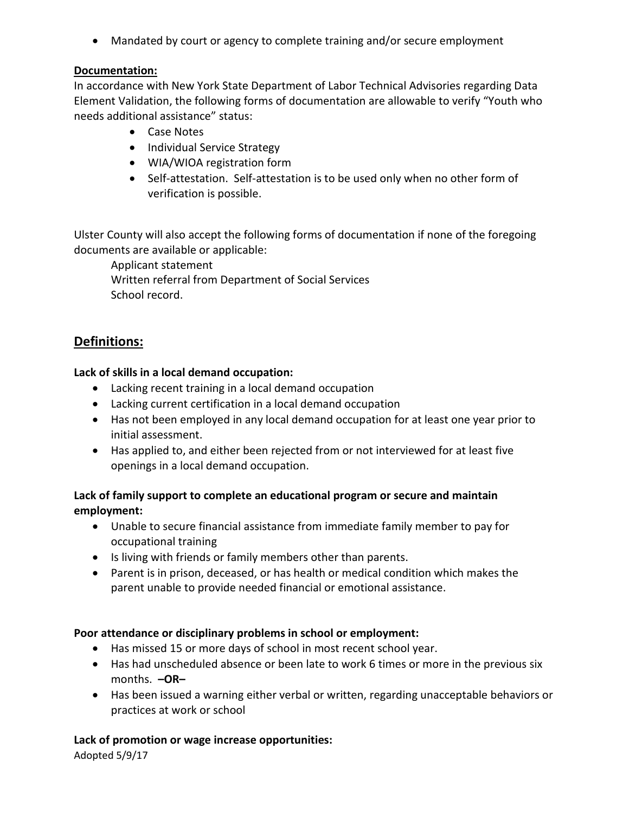• Mandated by court or agency to complete training and/or secure employment

#### **Documentation:**

In accordance with New York State Department of Labor Technical Advisories regarding Data Element Validation, the following forms of documentation are allowable to verify "Youth who needs additional assistance" status:

- Case Notes
- Individual Service Strategy
- WIA/WIOA registration form
- Self-attestation. Self-attestation is to be used only when no other form of verification is possible.

Ulster County will also accept the following forms of documentation if none of the foregoing documents are available or applicable:

Applicant statement

Written referral from Department of Social Services School record.

## **Definitions:**

### **Lack of skills in a local demand occupation:**

- Lacking recent training in a local demand occupation
- Lacking current certification in a local demand occupation
- Has not been employed in any local demand occupation for at least one year prior to initial assessment.
- Has applied to, and either been rejected from or not interviewed for at least five openings in a local demand occupation.

### **Lack of family support to complete an educational program or secure and maintain employment:**

- Unable to secure financial assistance from immediate family member to pay for occupational training
- Is living with friends or family members other than parents.
- Parent is in prison, deceased, or has health or medical condition which makes the parent unable to provide needed financial or emotional assistance.

## **Poor attendance or disciplinary problems in school or employment:**

- Has missed 15 or more days of school in most recent school year.
- Has had unscheduled absence or been late to work 6 times or more in the previous six months. **–OR–**
- Has been issued a warning either verbal or written, regarding unacceptable behaviors or practices at work or school

#### **Lack of promotion or wage increase opportunities:**

Adopted 5/9/17